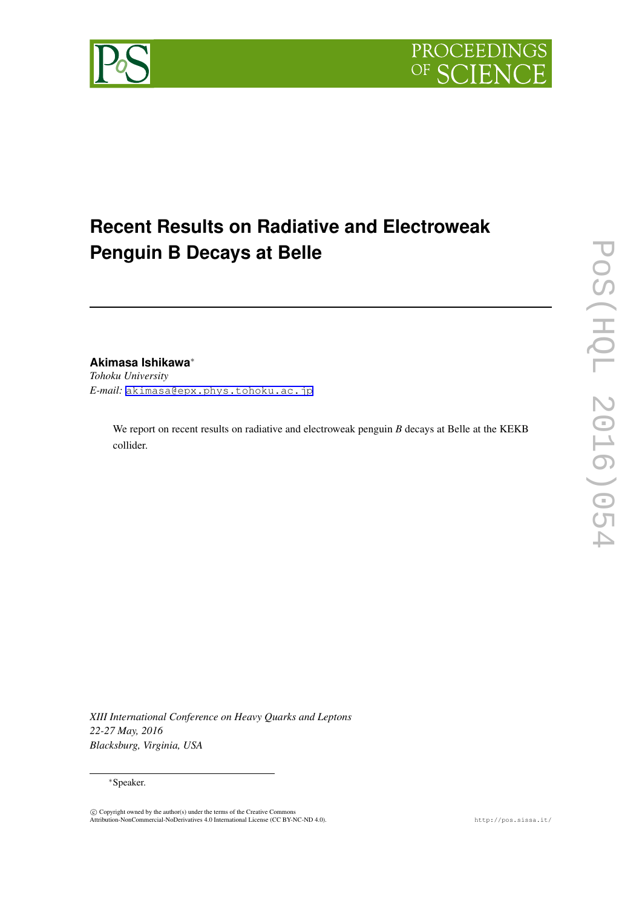

# **Recent Results on Radiative and Electroweak Penguin B Decays at Belle**

# **Akimasa Ishikawa***∗*

*Tohoku University E-mail:* [akimasa@epx.phys.tohoku.ac.jp](mailto:akimasa@epx.phys.tohoku.ac.jp)

> We report on recent results on radiative and electroweak penguin *B* decays at Belle at the KEKB collider.

*XIII International Conference on Heavy Quarks and Leptons 22-27 May, 2016 Blacksburg, Virginia, USA*

#### *∗*Speaker.

 $\copyright$  Copyright owned by the author(s) under the terms of the Creative Commons<br>Attribution-NonCommercial-NoDerivatives 4.0 International License (CC BY-NC-ND 4.0).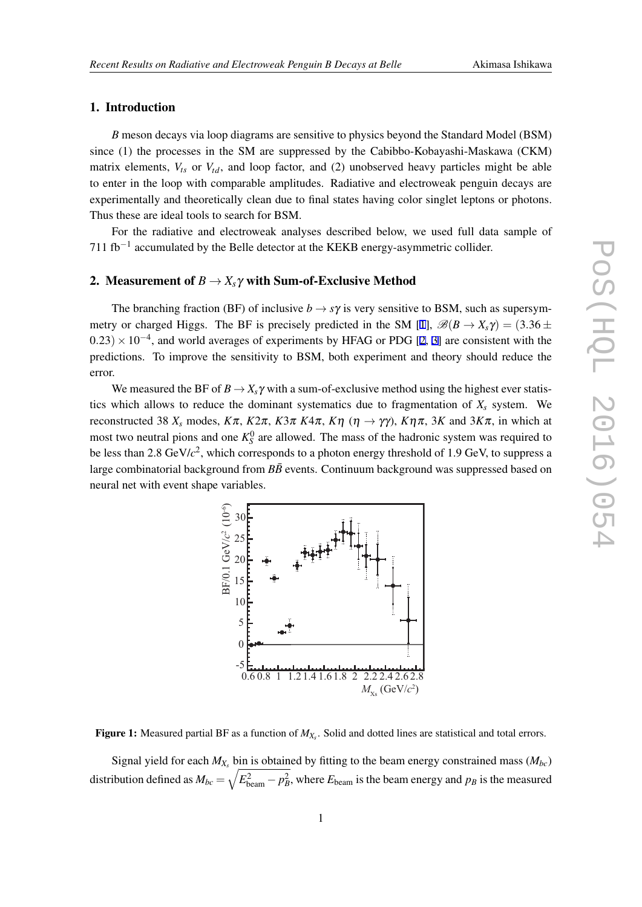### <span id="page-1-0"></span>1. Introduction

*B* meson decays via loop diagrams are sensitive to physics beyond the Standard Model (BSM) since (1) the processes in the SM are suppressed by the Cabibbo-Kobayashi-Maskawa (CKM) matrix elements,  $V_{ts}$  or  $V_{td}$ , and loop factor, and (2) unobserved heavy particles might be able to enter in the loop with comparable amplitudes. Radiative and electroweak penguin decays are experimentally and theoretically clean due to final states having color singlet leptons or photons. Thus these are ideal tools to search for BSM.

For the radiative and electroweak analyses described below, we used full data sample of 711 fb*−*<sup>1</sup> accumulated by the Belle detector at the KEKB energy-asymmetric collider.

### 2. Measurement of  $B \to X_s \gamma$  with Sum-of-Exclusive Method

The branching fraction (BF) of inclusive  $b \rightarrow s\gamma$  is very sensitive to BSM, such as supersym-metry or charged Higgs. The BF is precisely predicted in the SM [\[1\]](#page-7-0),  $\mathscr{B}(B \to X_s \gamma) = (3.36 \pm$ <sup>0</sup>*.*23)*×*10*−*<sup>4</sup> , and world averages of experiments by HFAG or PDG [\[2,](#page-7-0) [3](#page-7-0)] are consistent with the predictions. To improve the sensitivity to BSM, both experiment and theory should reduce the error.

We measured the BF of  $B \to X_s \gamma$  with a sum-of-exclusive method using the highest ever statistics which allows to reduce the dominant systematics due to fragmentation of  $X<sub>s</sub>$  system. We reconstructed 38  $X_s$  modes,  $K\pi$ ,  $K2\pi$ ,  $K3\pi K4\pi$ ,  $K\eta$  ( $\eta \rightarrow \gamma \gamma$ ),  $K\eta \pi$ , 3*K* and 3 $K\pi$ , in which at most two neutral pions and one  $K_S^0$  are allowed. The mass of the hadronic system was required to be less than 2.8 GeV/*c* 2 , which corresponds to a photon energy threshold of 1.9 GeV, to suppress a large combinatorial background from  $B\bar{B}$  events. Continuum background was suppressed based on neural net with event shape variables.



Figure 1: Measured partial BF as a function of *MX<sup>s</sup>* . Solid and dotted lines are statistical and total errors.

Signal yield for each  $M_{X_s}$  bin is obtained by fitting to the beam energy constrained mass  $(M_{bc})$ distribution defined as  $M_{bc} = \sqrt{E_{\text{beam}}^2 - p_B^2}$ , where  $E_{\text{beam}}$  is the beam energy and  $p_B$  is the measured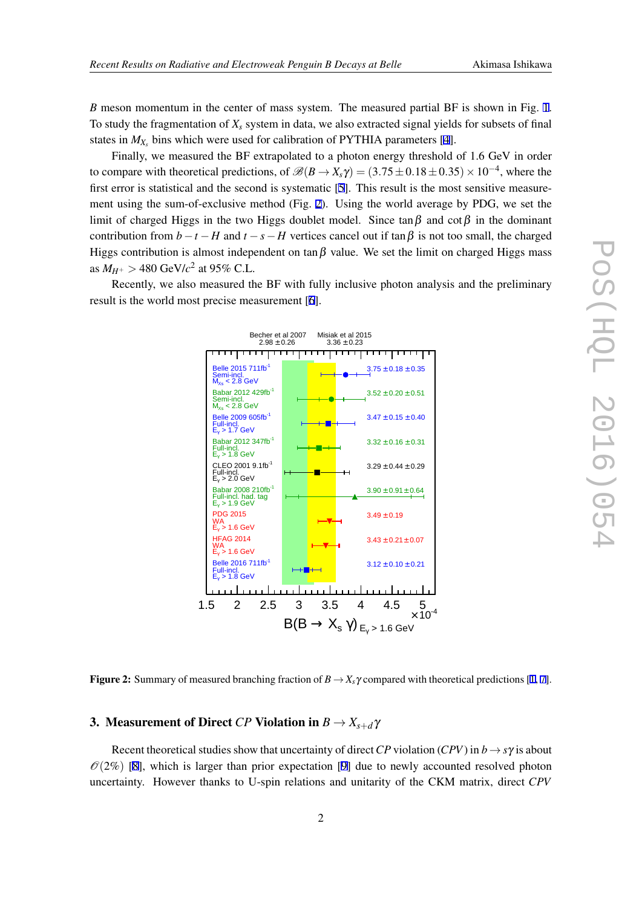*B* meson momentum in the center of mass system. The measured partial BF is shown in Fig. [1](#page-1-0). To study the fragmentation of  $X_s$  system in data, we also extracted signal yields for subsets of final states in  $M_{X_s}$  bins which were used for calibration of PYTHIA parameters [[4](#page-7-0)].

Finally, we measured the BF extrapolated to a photon energy threshold of 1.6 GeV in order to compare with theoretical predictions, of  $\mathscr{B}(B \to X_s \gamma) = (3.75 \pm 0.18 \pm 0.35) \times 10^{-4}$ , where the first error is statistical and the second is systematic [\[5](#page-7-0)]. This result is the most sensitive measurement using the sum-of-exclusive method (Fig. 2). Using the world average by PDG, we set the limit of charged Higgs in the two Higgs doublet model. Since tan $\beta$  and cot $\beta$  in the dominant contribution from  $b - t - H$  and  $t - s - H$  vertices cancel out if  $\tan \beta$  is not too small, the charged Higgs contribution is almost independent on tan  $\beta$  value. We set the limit on charged Higgs mass as  $M_{H^+} > 480 \text{ GeV}/c^2$  at 95% C.L.

Recently, we also measured the BF with fully inclusive photon analysis and the preliminary result is the world most precise measurement [[6\]](#page-7-0).



**Figure 2:** Summary of measured branching fraction of  $B \to X_s \gamma$  compared with theoretical predictions [[1,](#page-7-0) [7](#page-7-0)].

### 3. Measurement of Direct *CP* Violation in  $B \to X_{s+d} \gamma$

Recent theoretical studies show that uncertainty of direct *CP* violation (*CPV*) in  $b \rightarrow s\gamma$  is about  $\mathcal{O}(2\%)$  [[8](#page-7-0)], which is larger than prior expectation [\[9\]](#page-7-0) due to newly accounted resolved photon uncertainty. However thanks to U-spin relations and unitarity of the CKM matrix, direct *CPV*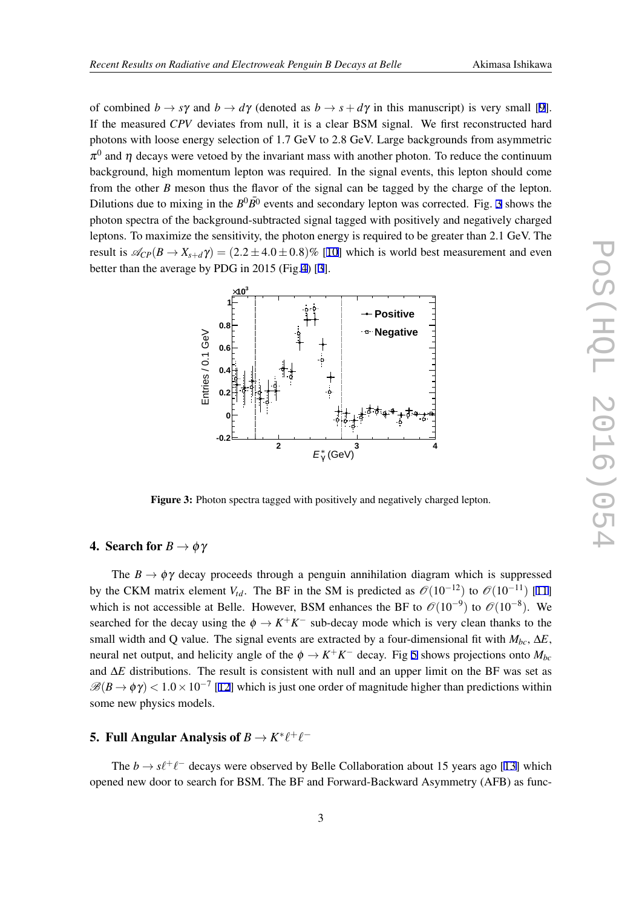of combined  $b \rightarrow s\gamma$  and  $b \rightarrow d\gamma$  (denoted as  $b \rightarrow s + d\gamma$  in this manuscript) is very small [\[9\]](#page-7-0). If the measured *CPV* deviates from null, it is a clear BSM signal. We first reconstructed hard photons with loose energy selection of 1.7 GeV to 2.8 GeV. Large backgrounds from asymmetric  $\pi^0$  and  $\eta$  decays were vetoed by the invariant mass with another photon. To reduce the continuum background, high momentum lepton was required. In the signal events, this lepton should come from the other *B* meson thus the flavor of the signal can be tagged by the charge of the lepton. Dilutions due to mixing in the  $B^0\overline{B}{}^0$  events and secondary lepton was corrected. Fig. 3 shows the photon spectra of the background-subtracted signal tagged with positively and negatively charged leptons. To maximize the sensitivity, the photon energy is required to be greater than 2.1 GeV. The result is  $\mathcal{A}_{CP}(B \to X_{s+d}\gamma) = (2.2 \pm 4.0 \pm 0.8)\%$  [[10\]](#page-7-0) which is world best measurement and even better than the average by PDG in 2015 (Fig.[4](#page-4-0)) [\[3](#page-7-0)].



Figure 3: Photon spectra tagged with positively and negatively charged lepton.

## **4.** Search for  $B \to \phi \gamma$

The  $B \to \phi \gamma$  decay proceeds through a penguin annihilation diagram which is suppressed by the CKM matrix element *V*<sub>td</sub>. The BF in the SM is predicted as  $\mathcal{O}(10^{-12})$  to  $\mathcal{O}(10^{-11})$  [\[11](#page-7-0)] which is not accessible at Belle. However, BSM enhances the BF to *O*(10*−*<sup>9</sup> ) to *O*(10*−*<sup>8</sup> ). We searched for the decay using the  $\phi \rightarrow K^+K^-$  sub-decay mode which is very clean thanks to the small width and Q value. The signal events are extracted by a four-dimensional fit with  $M_{bc}$ ,  $\Delta E$ , neural net output, and helicity angle of the  $\phi \rightarrow K^+K^-$  decay. Fig [5](#page-4-0) shows projections onto  $M_{bc}$ and ∆*E* distributions. The result is consistent with null and an upper limit on the BF was set as  $\mathscr{B}(B \to \phi \gamma) < 1.0 \times 10^{-7}$  [[12](#page-7-0)] which is just one order of magnitude higher than predictions within some new physics models.

# 5. Full Angular Analysis of  $B \to K^* \ell^+ \ell^-$

The  $b \to s\ell^+\ell^-$  decays were observed by Belle Collaboration about 15 years ago [[13\]](#page-7-0) which opened new door to search for BSM. The BF and Forward-Backward Asymmetry (AFB) as func-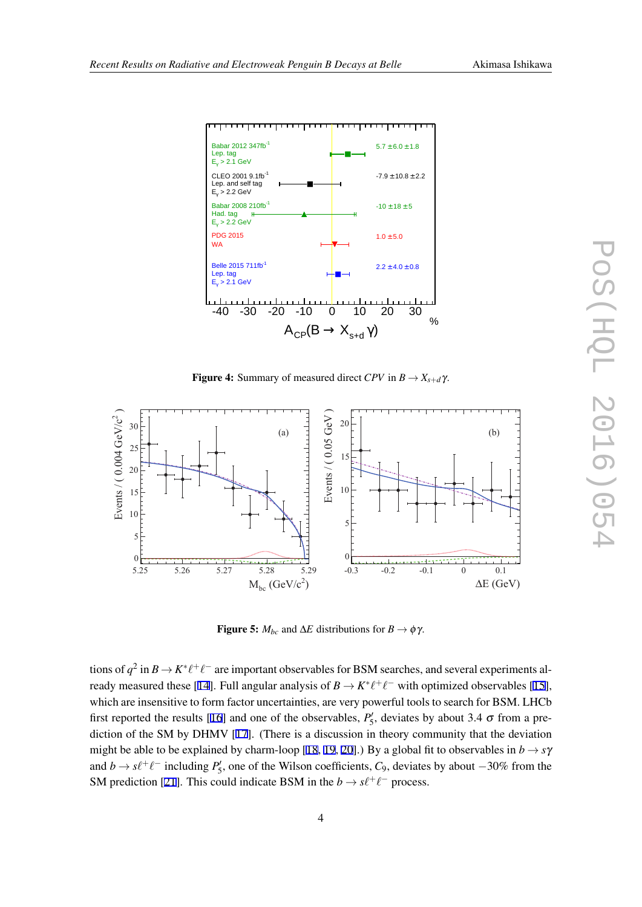

<span id="page-4-0"></span>

**Figure 4:** Summary of measured direct *CPV* in  $B \to X_{s+d} \gamma$ .



**Figure 5:**  $M_{bc}$  and  $\Delta E$  distributions for  $B \to \phi \gamma$ .

tions of  $q^2$  in  $B \to K^* \ell^+ \ell^-$  are important observables for BSM searches, and several experiments al-ready measured these [\[14](#page-8-0)]. Full angular analysis of  $B \to K^* \ell^+ \ell^-$  with optimized observables [[15\]](#page-8-0), which are insensitive to form factor uncertainties, are very powerful tools to search for BSM. LHCb first reported the results [\[16](#page-8-0)] and one of the observables,  $P'_{5}$ , deviates by about 3.4  $\sigma$  from a prediction of the SM by DHMV [[17\]](#page-8-0). (There is a discussion in theory community that the deviation might be able to be explained by charm-loop [\[18,](#page-8-0) [19](#page-8-0), [20](#page-8-0)].) By a global fit to observables in  $b \rightarrow s\gamma$ and  $b \rightarrow s\ell^+\ell^-$  including  $P'_5$ , one of the Wilson coefficients, *C*<sub>9</sub>, deviates by about  $-30\%$  from the SM prediction [\[21](#page-8-0)]. This could indicate BSM in the  $b \rightarrow s\ell^+\ell^-$  process.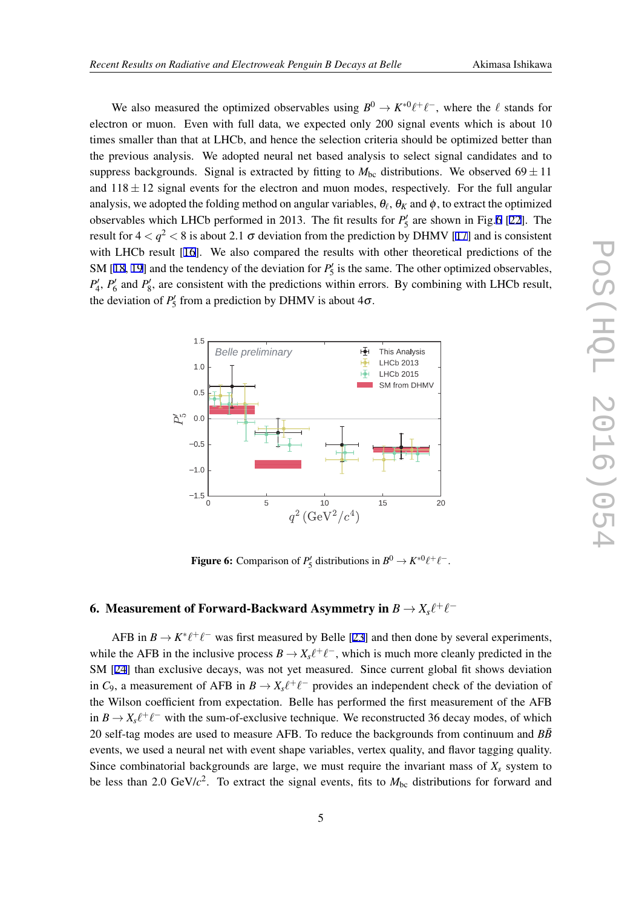We also measured the optimized observables using  $B^0 \to K^{*0}\ell^+\ell^-$ , where the  $\ell$  stands for electron or muon. Even with full data, we expected only 200 signal events which is about 10 times smaller than that at LHCb, and hence the selection criteria should be optimized better than the previous analysis. We adopted neural net based analysis to select signal candidates and to suppress backgrounds. Signal is extracted by fitting to  $M_{bc}$  distributions. We observed 69  $\pm$  11 and  $118 \pm 12$  signal events for the electron and muon modes, respectively. For the full angular analysis, we adopted the folding method on angular variables,  $\theta_\ell,$   $\theta_K$  and  $\phi$  , to extract the optimized observables which LHCb performed in 2013. The fit results for  $P'_{5}$  are shown in Fig.6 [\[22](#page-8-0)]. The result for  $4 < q^2 < 8$  is about 2.1  $\sigma$  deviation from the prediction by DHMV [[17\]](#page-8-0) and is consistent with LHCb result [\[16](#page-8-0)]. We also compared the results with other theoretical predictions of the SM [\[18](#page-8-0), [19](#page-8-0)] and the tendency of the deviation for  $P'_{5}$  is the same. The other optimized observables,  $P'_{4}$ ,  $P'_{6}$  and  $P'_{8}$ , are consistent with the predictions within errors. By combining with LHCb result, the deviation of  $P'_{5}$  from a prediction by DHMV is about  $4\sigma$ .



**Figure 6:** Comparison of  $P'_{5}$  distributions in  $B^{0} \to K^{*0}\ell^{+}\ell^{-}$ .

# 6. Measurement of Forward-Backward Asymmetry in  $B \to X_s \ell^+ \ell^-$

AFB in  $B \to K^* \ell^+ \ell^-$  was first measured by Belle [\[23\]](#page-8-0) and then done by several experiments, while the AFB in the inclusive process  $B \to X_s \ell^+ \ell^-$ , which is much more cleanly predicted in the SM [\[24](#page-8-0)] than exclusive decays, was not yet measured. Since current global fit shows deviation in  $C_9$ , a measurement of AFB in  $B \to X_s \ell^+ \ell^-$  provides an independent check of the deviation of the Wilson coefficient from expectation. Belle has performed the first measurement of the AFB in  $B \to X_s \ell^+ \ell^-$  with the sum-of-exclusive technique. We reconstructed 36 decay modes, of which 20 self-tag modes are used to measure AFB. To reduce the backgrounds from continuum and  $B\bar{B}$ events, we used a neural net with event shape variables, vertex quality, and flavor tagging quality. Since combinatorial backgrounds are large, we must require the invariant mass of  $X_s$  system to be less than 2.0 GeV/ $c^2$ . To extract the signal events, fits to  $M_{bc}$  distributions for forward and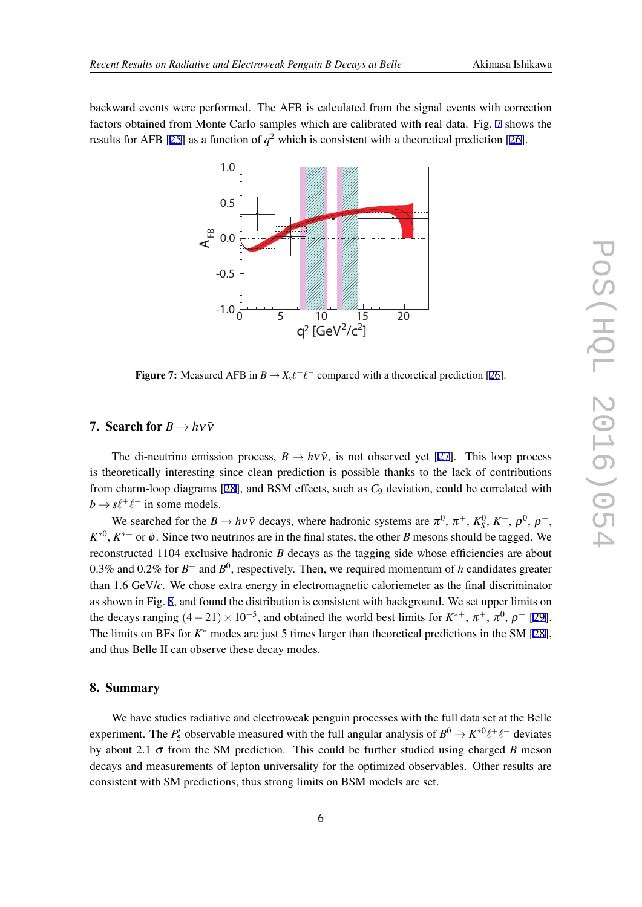backward events were performed. The AFB is calculated from the signal events with correction factors obtained from Monte Carlo samples which are calibrated with real data. Fig. 7 shows the results for AFB [[25](#page-8-0)] as a function of  $q^2$  which is consistent with a theoretical prediction [[26\]](#page-8-0).



Figure 7: Measured AFB in  $B \to X_s \ell^+ \ell^-$  compared with a theoretical prediction [[26\]](#page-8-0).

### 7. Search for  $B \to h\nu\bar{\nu}$

The di-neutrino emission process,  $B \to h\nu\bar{\nu}$ , is not observed yet [\[27](#page-8-0)]. This loop process is theoretically interesting since clean prediction is possible thanks to the lack of contributions from charm-loop diagrams [\[28\]](#page-8-0), and BSM effects, such as *C*<sup>9</sup> deviation, could be correlated with  $b \rightarrow s\ell^+\ell^-$  in some models.

We searched for the  $B \to h \nu \bar{\nu}$  decays, where hadronic systems are  $\pi^0$ ,  $\pi^+$ ,  $K_S^0$ ,  $K^+$ ,  $\rho^0$ ,  $\rho^+$ ,  $K^{*0}$ ,  $K^{*+}$  or  $\phi$ . Since two neutrinos are in the final states, the other *B* mesons should be tagged. We reconstructed 1104 exclusive hadronic *B* decays as the tagging side whose efficiencies are about 0.3% and 0.2% for  $B^+$  and  $B^0$ , respectively. Then, we required momentum of *h* candidates greater than 1.6 GeV/*c*. We chose extra energy in electromagnetic caloriemeter as the final discriminator as shown in Fig. [8](#page-7-0), and found the distribution is consistent with background. We set upper limits on the decays ranging  $(4-21) \times 10^{-5}$ , and obtained the world best limits for  $K^{*+}$ ,  $\pi^{+}$ ,  $\pi^{0}$ ,  $\rho^{+}$  [[29\]](#page-8-0). The limits on BFs for *K ∗* modes are just 5 times larger than theoretical predictions in the SM [[28\]](#page-8-0), and thus Belle II can observe these decay modes.

#### 8. Summary

We have studies radiative and electroweak penguin processes with the full data set at the Belle experiment. The  $P'_5$  observable measured with the full angular analysis of  $B^0 \to K^{*0} \ell^+ \ell^-$  deviates by about 2.1  $\sigma$  from the SM prediction. This could be further studied using charged *B* meson decays and measurements of lepton universality for the optimized observables. Other results are consistent with SM predictions, thus strong limits on BSM models are set.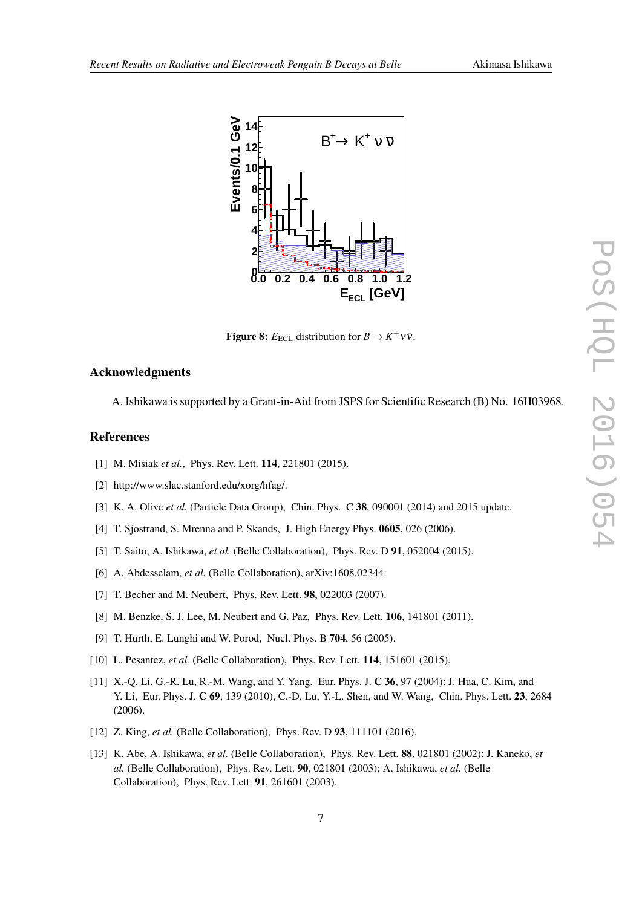

<span id="page-7-0"></span>

**Figure 8:**  $E_{\text{ECL}}$  distribution for  $B \to K^+ \nu \bar{\nu}$ .

## Acknowledgments

A. Ishikawa is supported by a Grant-in-Aid from JSPS for Scientific Research (B) No. 16H03968.

### References

- [1] M. Misiak *et al.*, Phys. Rev. Lett. **114**, 221801 (2015).
- [2] http://www.slac.stanford.edu/xorg/hfag/.
- [3] K. A. Olive *et al.* (Particle Data Group), Chin. Phys. C 38, 090001 (2014) and 2015 update.
- [4] T. Sjostrand, S. Mrenna and P. Skands, J. High Energy Phys. 0605, 026 (2006).
- [5] T. Saito, A. Ishikawa, *et al.* (Belle Collaboration), Phys. Rev. D 91, 052004 (2015).
- [6] A. Abdesselam, *et al.* (Belle Collaboration), arXiv:1608.02344.
- [7] T. Becher and M. Neubert, Phys. Rev. Lett. 98, 022003 (2007).
- [8] M. Benzke, S. J. Lee, M. Neubert and G. Paz, Phys. Rev. Lett. 106, 141801 (2011).
- [9] T. Hurth, E. Lunghi and W. Porod, Nucl. Phys. B 704, 56 (2005).
- [10] L. Pesantez, *et al.* (Belle Collaboration), Phys. Rev. Lett. **114**, 151601 (2015).
- [11] X.-Q. Li, G.-R. Lu, R.-M. Wang, and Y. Yang, Eur. Phys. J. C 36, 97 (2004); J. Hua, C. Kim, and Y. Li, Eur. Phys. J. C 69, 139 (2010), C.-D. Lu, Y.-L. Shen, and W. Wang, Chin. Phys. Lett. 23, 2684 (2006).
- [12] Z. King, *et al.* (Belle Collaboration), Phys. Rev. D 93, 111101 (2016).
- [13] K. Abe, A. Ishikawa, *et al.* (Belle Collaboration), Phys. Rev. Lett. 88, 021801 (2002); J. Kaneko, *et al.* (Belle Collaboration), Phys. Rev. Lett. 90, 021801 (2003); A. Ishikawa, *et al.* (Belle Collaboration), Phys. Rev. Lett. 91, 261601 (2003).